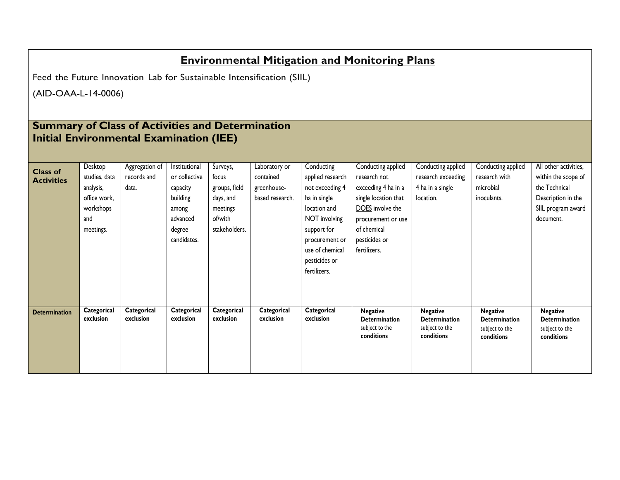## **Environmental Mitigation and Monitoring Plans**

Feed the Future Innovation Lab for Sustainable Intensification (SIIL)

(AID-OAA-L-14-0006)

## **Summary of Class of Activities and Determination Initial Environmental Examination (IEE)**

|                                      | Desktop                  | Aggregation of           | Institutional            | Surveys,                 | Laboratory or            | Conducting               | Conducting applied                      | Conducting applied                      | Conducting applied                      | All other activities,                   |
|--------------------------------------|--------------------------|--------------------------|--------------------------|--------------------------|--------------------------|--------------------------|-----------------------------------------|-----------------------------------------|-----------------------------------------|-----------------------------------------|
| <b>Class of</b><br><b>Activities</b> | studies, data            | records and              | or collective            | focus                    | contained                | applied research         | research not                            | research exceeding                      | research with                           | within the scope of                     |
|                                      | analysis,                | data.                    | capacity                 | groups, field            | greenhouse-              | not exceeding 4          | exceeding 4 ha in a                     | 4 ha in a single                        | microbial                               | the Technical                           |
|                                      | office work,             |                          | building                 | days, and                | based research.          | ha in single             | single location that                    | location.                               | inoculants.                             | Description in the                      |
|                                      | workshops                |                          | among                    | meetings                 |                          | location and             | DOES involve the                        |                                         |                                         | SIIL program award                      |
|                                      | and                      |                          | advanced                 | of/with                  |                          | NOT involving            | procurement or use                      |                                         |                                         | document.                               |
|                                      | meetings.                |                          | degree                   | stakeholders.            |                          | support for              | of chemical                             |                                         |                                         |                                         |
|                                      |                          |                          | candidates.              |                          |                          | procurement or           | pesticides or                           |                                         |                                         |                                         |
|                                      |                          |                          |                          |                          |                          | use of chemical          | fertilizers.                            |                                         |                                         |                                         |
|                                      |                          |                          |                          |                          |                          | pesticides or            |                                         |                                         |                                         |                                         |
|                                      |                          |                          |                          |                          |                          | fertilizers.             |                                         |                                         |                                         |                                         |
|                                      |                          |                          |                          |                          |                          |                          |                                         |                                         |                                         |                                         |
|                                      |                          |                          |                          |                          |                          |                          |                                         |                                         |                                         |                                         |
|                                      |                          |                          |                          |                          |                          |                          |                                         |                                         |                                         |                                         |
| <b>Determination</b>                 | Categorical<br>exclusion | Categorical<br>exclusion | Categorical<br>exclusion | Categorical<br>exclusion | Categorical<br>exclusion | Categorical<br>exclusion | <b>Negative</b><br><b>Determination</b> | <b>Negative</b><br><b>Determination</b> | <b>Negative</b><br><b>Determination</b> | <b>Negative</b><br><b>Determination</b> |
|                                      |                          |                          |                          |                          |                          |                          | subject to the                          | subject to the                          | subject to the                          | subject to the                          |
|                                      |                          |                          |                          |                          |                          |                          | conditions                              | conditions                              | conditions                              | conditions                              |
|                                      |                          |                          |                          |                          |                          |                          |                                         |                                         |                                         |                                         |
|                                      |                          |                          |                          |                          |                          |                          |                                         |                                         |                                         |                                         |
|                                      |                          |                          |                          |                          |                          |                          |                                         |                                         |                                         |                                         |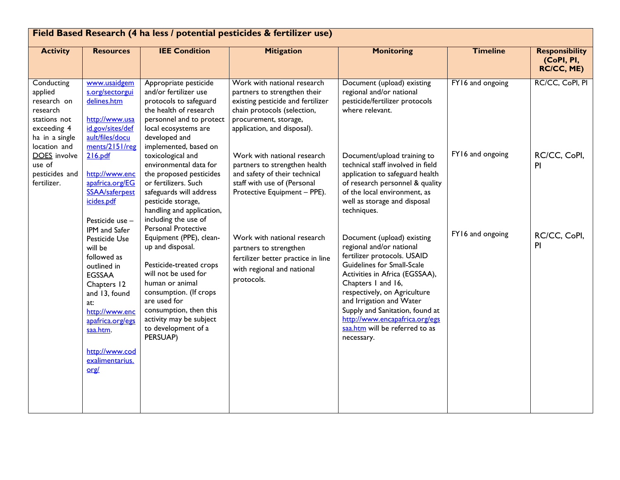| Field Based Research (4 ha less / potential pesticides & fertilizer use)                                          |                                                                                                                                                                                                                                  |                                                                                                                                                                                                                                                                            |                                                                                                                                                                                         |                                                                                                                                                                                                                                                                                                                                                              |                  |                                                   |  |  |
|-------------------------------------------------------------------------------------------------------------------|----------------------------------------------------------------------------------------------------------------------------------------------------------------------------------------------------------------------------------|----------------------------------------------------------------------------------------------------------------------------------------------------------------------------------------------------------------------------------------------------------------------------|-----------------------------------------------------------------------------------------------------------------------------------------------------------------------------------------|--------------------------------------------------------------------------------------------------------------------------------------------------------------------------------------------------------------------------------------------------------------------------------------------------------------------------------------------------------------|------------------|---------------------------------------------------|--|--|
| <b>Activity</b>                                                                                                   | <b>Resources</b>                                                                                                                                                                                                                 | <b>IEE Condition</b>                                                                                                                                                                                                                                                       | <b>Mitigation</b>                                                                                                                                                                       | <b>Monitoring</b>                                                                                                                                                                                                                                                                                                                                            | <b>Timeline</b>  | <b>Responsibility</b><br>(CoPI, PI,<br>RC/CC, ME) |  |  |
| Conducting<br>applied<br>research on<br>research<br>stations not<br>exceeding 4<br>ha in a single<br>location and | www.usaidgem<br>s.org/sectorgui<br>delines.htm<br>http://www.usa<br>id.gov/sites/def<br>ault/files/docu<br>ments/2151/reg                                                                                                        | Appropriate pesticide<br>and/or fertilizer use<br>protocols to safeguard<br>the health of research<br>personnel and to protect<br>local ecosystems are<br>developed and<br>implemented, based on                                                                           | Work with national research<br>partners to strengthen their<br>existing pesticide and fertilizer<br>chain protocols (selection,<br>procurement, storage,<br>application, and disposal). | Document (upload) existing<br>regional and/or national<br>pesticide/fertilizer protocols<br>where relevant.                                                                                                                                                                                                                                                  | FY16 and ongoing | RC/CC, CoPI, PI                                   |  |  |
| <b>DOES</b> involve<br>use of<br>pesticides and<br>fertilizer.                                                    | 216.pdf<br>http://www.enc<br>apafrica.org/EG<br>SSAA/saferpest<br>icides.pdf<br>Pesticide use -                                                                                                                                  | toxicological and<br>environmental data for<br>the proposed pesticides<br>or fertilizers. Such<br>safeguards will address<br>pesticide storage,<br>handling and application,<br>including the use of                                                                       | Work with national research<br>partners to strengthen health<br>and safety of their technical<br>staff with use of (Personal<br>Protective Equipment - PPE).                            | Document/upload training to<br>technical staff involved in field<br>application to safeguard health<br>of research personnel & quality<br>of the local environment, as<br>well as storage and disposal<br>techniques.                                                                                                                                        | FY16 and ongoing | RC/CC, CoPI,<br>P <sub>1</sub>                    |  |  |
|                                                                                                                   | IPM and Safer<br>Pesticide Use<br>will be<br>followed as<br>outlined in<br><b>EGSSAA</b><br>Chapters 12<br>and 13, found<br>at:<br>http://www.enc<br>apafrica.org/egs<br>saa.htm.<br>http://www.cod<br>exalimentarius.<br>$org/$ | Personal Protective<br>Equipment (PPE), clean-<br>up and disposal.<br>Pesticide-treated crops<br>will not be used for<br>human or animal<br>consumption. (If crops<br>are used for<br>consumption, then this<br>activity may be subject<br>to development of a<br>PERSUAP) | Work with national research<br>partners to strengthen<br>fertilizer better practice in line<br>with regional and national<br>protocols.                                                 | Document (upload) existing<br>regional and/or national<br>fertilizer protocols. USAID<br>Guidelines for Small-Scale<br>Activities in Africa (EGSSAA),<br>Chapters I and 16,<br>respectively, on Agriculture<br>and Irrigation and Water<br>Supply and Sanitation, found at<br>http://www.encapafrica.org/egs<br>saa.htm will be referred to as<br>necessary. | FY16 and ongoing | RC/CC, CoPI,<br>P <sub>1</sub>                    |  |  |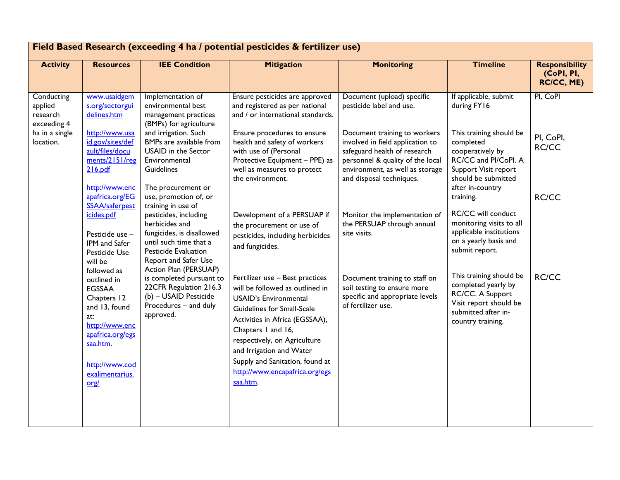| Field Based Research (exceeding 4 ha / potential pesticides & fertilizer use) |                                                                                                                                                                           |                                                                                                                                                                                               |                                                                                                                                                                                                                                                                                                                           |                                                                                                                                                                                                     |                                                                                                                                                                  |                                                          |  |  |
|-------------------------------------------------------------------------------|---------------------------------------------------------------------------------------------------------------------------------------------------------------------------|-----------------------------------------------------------------------------------------------------------------------------------------------------------------------------------------------|---------------------------------------------------------------------------------------------------------------------------------------------------------------------------------------------------------------------------------------------------------------------------------------------------------------------------|-----------------------------------------------------------------------------------------------------------------------------------------------------------------------------------------------------|------------------------------------------------------------------------------------------------------------------------------------------------------------------|----------------------------------------------------------|--|--|
| <b>Activity</b>                                                               | <b>Resources</b>                                                                                                                                                          | <b>IEE Condition</b>                                                                                                                                                                          | <b>Mitigation</b>                                                                                                                                                                                                                                                                                                         | <b>Monitoring</b>                                                                                                                                                                                   | <b>Timeline</b>                                                                                                                                                  | <b>Responsibility</b><br>(CoPI, PI,<br><b>RC/CC, ME)</b> |  |  |
| Conducting<br>applied<br>research<br>exceeding 4                              | www.usaidgem<br>s.org/sectorgui<br>delines.htm                                                                                                                            | Implementation of<br>environmental best<br>management practices<br>(BMPs) for agriculture                                                                                                     | Ensure pesticides are approved<br>and registered as per national<br>and / or international standards.                                                                                                                                                                                                                     | Document (upload) specific<br>pesticide label and use.                                                                                                                                              | If applicable, submit<br>during FY16                                                                                                                             | PI, CoPI                                                 |  |  |
| ha in a single<br>location.                                                   | http://www.usa<br>id.gov/sites/def<br>ault/files/docu<br>ments/2151/reg<br>216.pdf<br>http://www.enc<br>apafrica.org/EG                                                   | and irrigation. Such<br>BMPs are available from<br><b>USAID</b> in the Sector<br>Environmental<br>Guidelines<br>The procurement or<br>use, promotion of, or                                   | Ensure procedures to ensure<br>health and safety of workers<br>with use of (Personal<br>Protective Equipment - PPE) as<br>well as measures to protect<br>the environment.                                                                                                                                                 | Document training to workers<br>involved in field application to<br>safeguard health of research<br>personnel & quality of the local<br>environment, as well as storage<br>and disposal techniques. | This training should be<br>completed<br>cooperatively by<br>RC/CC and PI/CoPI. A<br>Support Visit report<br>should be submitted<br>after in-country<br>training. | PI, CoPI,<br>RC/CC<br>RC/CC                              |  |  |
|                                                                               | SSAA/saferpest<br>icides.pdf<br>Pesticide use -<br>IPM and Safer<br>Pesticide Use<br>will be                                                                              | training in use of<br>pesticides, including<br>herbicides and<br>fungicides, is disallowed<br>until such time that a<br>Pesticide Evaluation<br>Report and Safer Use<br>Action Plan (PERSUAP) | Development of a PERSUAP if<br>the procurement or use of<br>pesticides, including herbicides<br>and fungicides.                                                                                                                                                                                                           | Monitor the implementation of<br>the PERSUAP through annual<br>site visits.                                                                                                                         | <b>RC/CC will conduct</b><br>monitoring visits to all<br>applicable institutions<br>on a yearly basis and<br>submit report.                                      |                                                          |  |  |
|                                                                               | followed as<br>outlined in<br><b>EGSSAA</b><br>Chapters 12<br>and 13, found<br>at:<br>http://www.enc<br>apafrica.org/egs<br>saa.htm.<br>http://www.cod<br>exalimentarius. | is completed pursuant to<br>22CFR Regulation 216.3<br>(b) - USAID Pesticide<br>Procedures - and duly<br>approved.                                                                             | Fertilizer use - Best practices<br>will be followed as outlined in<br><b>USAID's Environmental</b><br>Guidelines for Small-Scale<br>Activities in Africa (EGSSAA),<br>Chapters I and 16,<br>respectively, on Agriculture<br>and Irrigation and Water<br>Supply and Sanitation, found at<br>http://www.encapafrica.org/egs | Document training to staff on<br>soil testing to ensure more<br>specific and appropriate levels<br>of fertilizer use.                                                                               | This training should be<br>completed yearly by<br>RC/CC. A Support<br>Visit report should be<br>submitted after in-<br>country training.                         | RC/CC                                                    |  |  |
|                                                                               | org/                                                                                                                                                                      |                                                                                                                                                                                               | saa.htm.                                                                                                                                                                                                                                                                                                                  |                                                                                                                                                                                                     |                                                                                                                                                                  |                                                          |  |  |